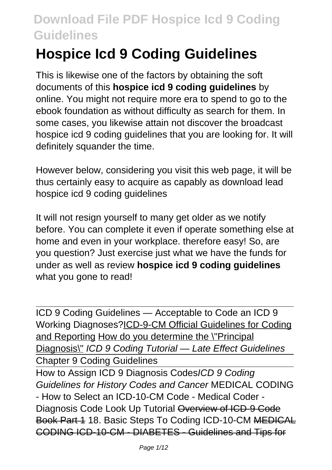# **Hospice Icd 9 Coding Guidelines**

This is likewise one of the factors by obtaining the soft documents of this **hospice icd 9 coding guidelines** by online. You might not require more era to spend to go to the ebook foundation as without difficulty as search for them. In some cases, you likewise attain not discover the broadcast hospice icd 9 coding guidelines that you are looking for. It will definitely squander the time.

However below, considering you visit this web page, it will be thus certainly easy to acquire as capably as download lead hospice icd 9 coding guidelines

It will not resign yourself to many get older as we notify before. You can complete it even if operate something else at home and even in your workplace. therefore easy! So, are you question? Just exercise just what we have the funds for under as well as review **hospice icd 9 coding guidelines** what you gone to read!

ICD 9 Coding Guidelines — Acceptable to Code an ICD 9 Working Diagnoses?ICD-9-CM Official Guidelines for Coding and Reporting How do you determine the \"Principal Diagnosis\" ICD 9 Coding Tutorial - Late Effect Guidelines Chapter 9 Coding Guidelines

How to Assign ICD 9 Diagnosis CodesICD 9 Coding Guidelines for History Codes and Cancer MEDICAL CODING - How to Select an ICD-10-CM Code - Medical Coder - Diagnosis Code Look Up Tutorial Overview of ICD-9 Code Book Part 1 18. Basic Steps To Coding ICD-10-CM MEDICAL CODING ICD-10-CM - DIABETES - Guidelines and Tips for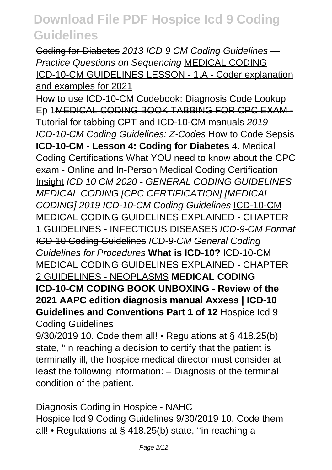Coding for Diabetes 2013 ICD 9 CM Coding Guidelines — Practice Questions on Sequencing MEDICAL CODING ICD-10-CM GUIDELINES LESSON - 1.A - Coder explanation and examples for 2021

How to use ICD-10-CM Codebook: Diagnosis Code Lookup Ep 1MEDICAL CODING BOOK TABBING FOR CPC EXAM - Tutorial for tabbing CPT and ICD-10-CM manuals 2019 ICD-10-CM Coding Guidelines: Z-Codes How to Code Sepsis **ICD-10-CM - Lesson 4: Coding for Diabetes** 4. Medical Coding Certifications What YOU need to know about the CPC exam - Online and In-Person Medical Coding Certification Insight ICD 10 CM 2020 - GENERAL CODING GUIDELINES MEDICAL CODING [CPC CERTIFICATION] [MEDICAL CODING] 2019 ICD-10-CM Coding Guidelines ICD-10-CM MEDICAL CODING GUIDELINES EXPLAINED - CHAPTER 1 GUIDELINES - INFECTIOUS DISEASES ICD-9-CM Format ICD-10 Coding Guidelines ICD-9-CM General Coding Guidelines for Procedures **What is ICD-10?** ICD-10-CM MEDICAL CODING GUIDELINES EXPLAINED - CHAPTER 2 GUIDELINES - NEOPLASMS **MEDICAL CODING ICD-10-CM CODING BOOK UNBOXING - Review of the 2021 AAPC edition diagnosis manual Axxess | ICD-10 Guidelines and Conventions Part 1 of 12** Hospice Icd 9 Coding Guidelines

9/30/2019 10. Code them all! • Regulations at § 418.25(b) state, ''in reaching a decision to certify that the patient is terminally ill, the hospice medical director must consider at least the following information: – Diagnosis of the terminal condition of the patient.

Diagnosis Coding in Hospice - NAHC Hospice Icd 9 Coding Guidelines 9/30/2019 10. Code them all! • Regulations at § 418.25(b) state, ''in reaching a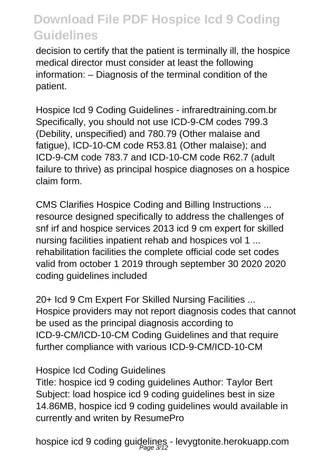decision to certify that the patient is terminally ill, the hospice medical director must consider at least the following information: – Diagnosis of the terminal condition of the patient.

Hospice Icd 9 Coding Guidelines - infraredtraining.com.br Specifically, you should not use ICD-9-CM codes 799.3 (Debility, unspecified) and 780.79 (Other malaise and fatigue), ICD-10-CM code R53.81 (Other malaise); and ICD-9-CM code 783.7 and ICD-10-CM code R62.7 (adult failure to thrive) as principal hospice diagnoses on a hospice claim form.

CMS Clarifies Hospice Coding and Billing Instructions ... resource designed specifically to address the challenges of snf irf and hospice services 2013 icd 9 cm expert for skilled nursing facilities inpatient rehab and hospices vol 1 ... rehabilitation facilities the complete official code set codes valid from october 1 2019 through september 30 2020 2020 coding guidelines included

20+ Icd 9 Cm Expert For Skilled Nursing Facilities ... Hospice providers may not report diagnosis codes that cannot be used as the principal diagnosis according to ICD-9-CM/ICD-10-CM Coding Guidelines and that require further compliance with various ICD-9-CM/ICD-10-CM

#### Hospice Icd Coding Guidelines

Title: hospice icd 9 coding guidelines Author: Taylor Bert Subject: load hospice icd 9 coding quidelines best in size 14.86MB, hospice icd 9 coding guidelines would available in currently and writen by ResumePro

hospice icd 9 coding guidelines - levygtonite.herokuapp.com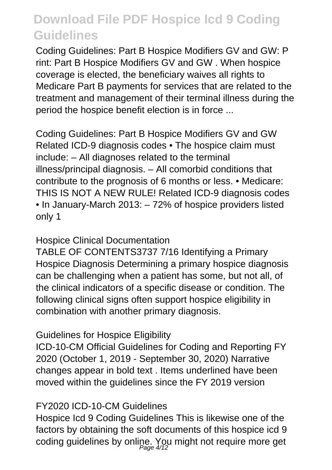Coding Guidelines: Part B Hospice Modifiers GV and GW: P rint: Part B Hospice Modifiers GV and GW . When hospice coverage is elected, the beneficiary waives all rights to Medicare Part B payments for services that are related to the treatment and management of their terminal illness during the period the hospice benefit election is in force ...

Coding Guidelines: Part B Hospice Modifiers GV and GW Related ICD-9 diagnosis codes • The hospice claim must include: – All diagnoses related to the terminal illness/principal diagnosis. – All comorbid conditions that contribute to the prognosis of 6 months or less. • Medicare: THIS IS NOT A NEW RULE! Related ICD-9 diagnosis codes • In January-March 2013: – 72% of hospice providers listed only 1

#### Hospice Clinical Documentation

TABLE OF CONTENTS3737 7/16 Identifying a Primary Hospice Diagnosis Determining a primary hospice diagnosis can be challenging when a patient has some, but not all, of the clinical indicators of a specific disease or condition. The following clinical signs often support hospice eligibility in combination with another primary diagnosis.

#### Guidelines for Hospice Eligibility

ICD-10-CM Official Guidelines for Coding and Reporting FY 2020 (October 1, 2019 - September 30, 2020) Narrative changes appear in bold text . Items underlined have been moved within the guidelines since the FY 2019 version

#### FY2020 ICD-10-CM Guidelines

Hospice Icd 9 Coding Guidelines This is likewise one of the factors by obtaining the soft documents of this hospice icd 9 coding guidelines by online. You might not require more get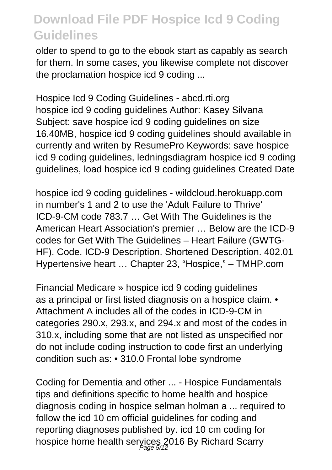older to spend to go to the ebook start as capably as search for them. In some cases, you likewise complete not discover the proclamation hospice icd 9 coding ...

Hospice Icd 9 Coding Guidelines - abcd.rti.org hospice icd 9 coding guidelines Author: Kasey Silvana Subject: save hospice icd 9 coding quidelines on size 16.40MB, hospice icd 9 coding guidelines should available in currently and writen by ResumePro Keywords: save hospice icd 9 coding guidelines, ledningsdiagram hospice icd 9 coding guidelines, load hospice icd 9 coding guidelines Created Date

hospice icd 9 coding guidelines - wildcloud.herokuapp.com in number's 1 and 2 to use the 'Adult Failure to Thrive' ICD-9-CM code 783.7 … Get With The Guidelines is the American Heart Association's premier … Below are the ICD-9 codes for Get With The Guidelines – Heart Failure (GWTG-HF). Code. ICD-9 Description. Shortened Description. 402.01 Hypertensive heart … Chapter 23, "Hospice," – TMHP.com

Financial Medicare » hospice icd 9 coding guidelines as a principal or first listed diagnosis on a hospice claim. • Attachment A includes all of the codes in ICD-9-CM in categories 290.x, 293.x, and 294.x and most of the codes in 310.x, including some that are not listed as unspecified nor do not include coding instruction to code first an underlying condition such as: • 310.0 Frontal lobe syndrome

Coding for Dementia and other ... - Hospice Fundamentals tips and definitions specific to home health and hospice diagnosis coding in hospice selman holman a ... required to follow the icd 10 cm official guidelines for coding and reporting diagnoses published by. icd 10 cm coding for hospice home health services 2016 By Richard Scarry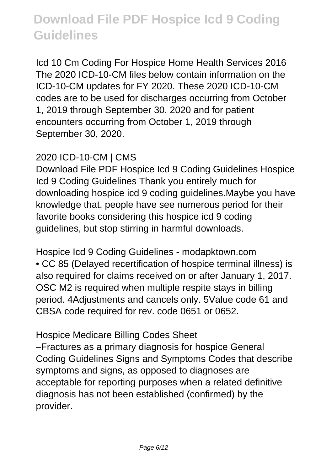Icd 10 Cm Coding For Hospice Home Health Services 2016 The 2020 ICD-10-CM files below contain information on the ICD-10-CM updates for FY 2020. These 2020 ICD-10-CM codes are to be used for discharges occurring from October 1, 2019 through September 30, 2020 and for patient encounters occurring from October 1, 2019 through September 30, 2020.

#### 2020 ICD-10-CM | CMS

Download File PDF Hospice Icd 9 Coding Guidelines Hospice Icd 9 Coding Guidelines Thank you entirely much for downloading hospice icd 9 coding guidelines.Maybe you have knowledge that, people have see numerous period for their favorite books considering this hospice icd 9 coding guidelines, but stop stirring in harmful downloads.

Hospice Icd 9 Coding Guidelines - modapktown.com • CC 85 (Delayed recertification of hospice terminal illness) is also required for claims received on or after January 1, 2017. OSC M2 is required when multiple respite stays in billing period. 4Adjustments and cancels only. 5Value code 61 and CBSA code required for rev. code 0651 or 0652.

Hospice Medicare Billing Codes Sheet

–Fractures as a primary diagnosis for hospice General Coding Guidelines Signs and Symptoms Codes that describe symptoms and signs, as opposed to diagnoses are acceptable for reporting purposes when a related definitive diagnosis has not been established (confirmed) by the provider.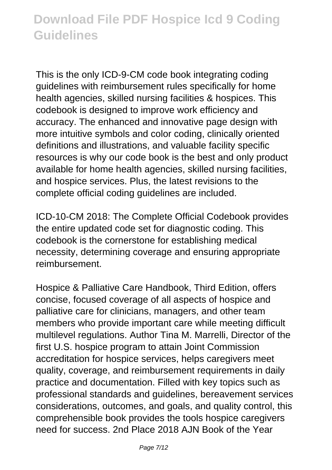This is the only ICD-9-CM code book integrating coding guidelines with reimbursement rules specifically for home health agencies, skilled nursing facilities & hospices. This codebook is designed to improve work efficiency and accuracy. The enhanced and innovative page design with more intuitive symbols and color coding, clinically oriented definitions and illustrations, and valuable facility specific resources is why our code book is the best and only product available for home health agencies, skilled nursing facilities, and hospice services. Plus, the latest revisions to the complete official coding guidelines are included.

ICD-10-CM 2018: The Complete Official Codebook provides the entire updated code set for diagnostic coding. This codebook is the cornerstone for establishing medical necessity, determining coverage and ensuring appropriate reimbursement.

Hospice & Palliative Care Handbook, Third Edition, offers concise, focused coverage of all aspects of hospice and palliative care for clinicians, managers, and other team members who provide important care while meeting difficult multilevel regulations. Author Tina M. Marrelli, Director of the first U.S. hospice program to attain Joint Commission accreditation for hospice services, helps caregivers meet quality, coverage, and reimbursement requirements in daily practice and documentation. Filled with key topics such as professional standards and guidelines, bereavement services considerations, outcomes, and goals, and quality control, this comprehensible book provides the tools hospice caregivers need for success. 2nd Place 2018 AJN Book of the Year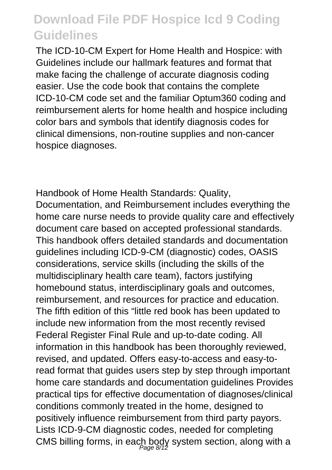The ICD-10-CM Expert for Home Health and Hospice: with Guidelines include our hallmark features and format that make facing the challenge of accurate diagnosis coding easier. Use the code book that contains the complete ICD-10-CM code set and the familiar Optum360 coding and reimbursement alerts for home health and hospice including color bars and symbols that identify diagnosis codes for clinical dimensions, non-routine supplies and non-cancer hospice diagnoses.

Handbook of Home Health Standards: Quality, Documentation, and Reimbursement includes everything the home care nurse needs to provide quality care and effectively document care based on accepted professional standards. This handbook offers detailed standards and documentation guidelines including ICD-9-CM (diagnostic) codes, OASIS considerations, service skills (including the skills of the multidisciplinary health care team), factors justifying homebound status, interdisciplinary goals and outcomes, reimbursement, and resources for practice and education. The fifth edition of this "little red book has been updated to include new information from the most recently revised Federal Register Final Rule and up-to-date coding. All information in this handbook has been thoroughly reviewed, revised, and updated. Offers easy-to-access and easy-toread format that guides users step by step through important home care standards and documentation guidelines Provides practical tips for effective documentation of diagnoses/clinical conditions commonly treated in the home, designed to positively influence reimbursement from third party payors. Lists ICD-9-CM diagnostic codes, needed for completing CMS billing forms, in each body system section, along with a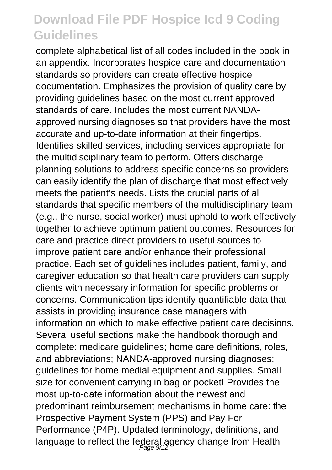complete alphabetical list of all codes included in the book in an appendix. Incorporates hospice care and documentation standards so providers can create effective hospice documentation. Emphasizes the provision of quality care by providing guidelines based on the most current approved standards of care. Includes the most current NANDAapproved nursing diagnoses so that providers have the most accurate and up-to-date information at their fingertips. Identifies skilled services, including services appropriate for the multidisciplinary team to perform. Offers discharge planning solutions to address specific concerns so providers can easily identify the plan of discharge that most effectively meets the patient's needs. Lists the crucial parts of all standards that specific members of the multidisciplinary team (e.g., the nurse, social worker) must uphold to work effectively together to achieve optimum patient outcomes. Resources for care and practice direct providers to useful sources to improve patient care and/or enhance their professional practice. Each set of guidelines includes patient, family, and caregiver education so that health care providers can supply clients with necessary information for specific problems or concerns. Communication tips identify quantifiable data that assists in providing insurance case managers with information on which to make effective patient care decisions. Several useful sections make the handbook thorough and complete: medicare guidelines; home care definitions, roles, and abbreviations; NANDA-approved nursing diagnoses; guidelines for home medial equipment and supplies. Small size for convenient carrying in bag or pocket! Provides the most up-to-date information about the newest and predominant reimbursement mechanisms in home care: the Prospective Payment System (PPS) and Pay For Performance (P4P). Updated terminology, definitions, and language to reflect the federal agency change from Health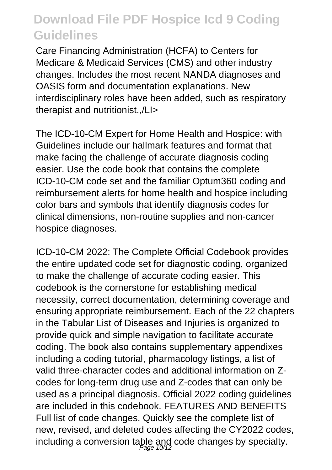Care Financing Administration (HCFA) to Centers for Medicare & Medicaid Services (CMS) and other industry changes. Includes the most recent NANDA diagnoses and OASIS form and documentation explanations. New interdisciplinary roles have been added, such as respiratory therapist and nutritionist.,/LI>

The ICD-10-CM Expert for Home Health and Hospice: with Guidelines include our hallmark features and format that make facing the challenge of accurate diagnosis coding easier. Use the code book that contains the complete ICD-10-CM code set and the familiar Optum360 coding and reimbursement alerts for home health and hospice including color bars and symbols that identify diagnosis codes for clinical dimensions, non-routine supplies and non-cancer hospice diagnoses.

ICD-10-CM 2022: The Complete Official Codebook provides the entire updated code set for diagnostic coding, organized to make the challenge of accurate coding easier. This codebook is the cornerstone for establishing medical necessity, correct documentation, determining coverage and ensuring appropriate reimbursement. Each of the 22 chapters in the Tabular List of Diseases and Injuries is organized to provide quick and simple navigation to facilitate accurate coding. The book also contains supplementary appendixes including a coding tutorial, pharmacology listings, a list of valid three-character codes and additional information on Zcodes for long-term drug use and Z-codes that can only be used as a principal diagnosis. Official 2022 coding guidelines are included in this codebook. FEATURES AND BENEFITS Full list of code changes. Quickly see the complete list of new, revised, and deleted codes affecting the CY2022 codes, including a conversion table and code changes by specialty.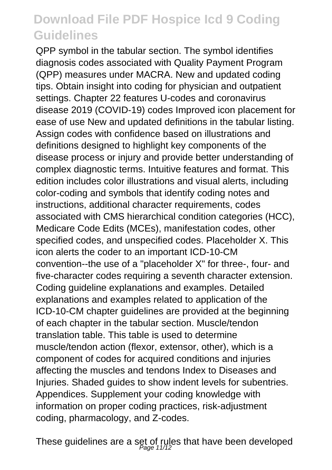QPP symbol in the tabular section. The symbol identifies diagnosis codes associated with Quality Payment Program (QPP) measures under MACRA. New and updated coding tips. Obtain insight into coding for physician and outpatient settings. Chapter 22 features U-codes and coronavirus disease 2019 (COVID-19) codes Improved icon placement for ease of use New and updated definitions in the tabular listing. Assign codes with confidence based on illustrations and definitions designed to highlight key components of the disease process or injury and provide better understanding of complex diagnostic terms. Intuitive features and format. This edition includes color illustrations and visual alerts, including color-coding and symbols that identify coding notes and instructions, additional character requirements, codes associated with CMS hierarchical condition categories (HCC), Medicare Code Edits (MCEs), manifestation codes, other specified codes, and unspecified codes. Placeholder X. This icon alerts the coder to an important ICD-10-CM convention--the use of a "placeholder X" for three-, four- and five-character codes requiring a seventh character extension. Coding guideline explanations and examples. Detailed explanations and examples related to application of the ICD-10-CM chapter guidelines are provided at the beginning of each chapter in the tabular section. Muscle/tendon translation table. This table is used to determine muscle/tendon action (flexor, extensor, other), which is a component of codes for acquired conditions and injuries affecting the muscles and tendons Index to Diseases and Injuries. Shaded guides to show indent levels for subentries. Appendices. Supplement your coding knowledge with information on proper coding practices, risk-adjustment coding, pharmacology, and Z-codes.

These guidelines are a set of rules that have been developed